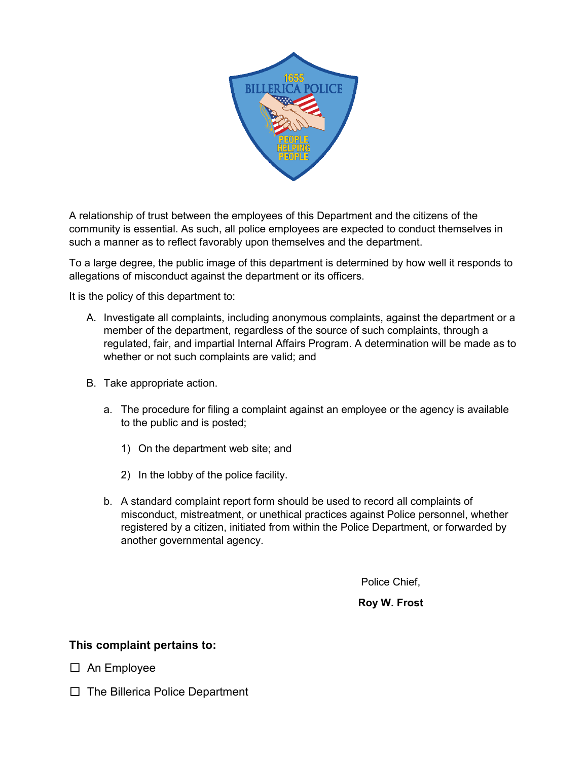

A relationship of trust between the employees of this Department and the citizens of the community is essential. As such, all police employees are expected to conduct themselves in such a manner as to reflect favorably upon themselves and the department.

To a large degree, the public image of this department is determined by how well it responds to allegations of misconduct against the department or its officers.

It is the policy of this department to:

- A. Investigate all complaints, including anonymous complaints, against the department or a member of the department, regardless of the source of such complaints, through a regulated, fair, and impartial Internal Affairs Program. A determination will be made as to whether or not such complaints are valid; and
- B. Take appropriate action.
	- a. The procedure for filing a complaint against an employee or the agency is available to the public and is posted;
		- 1) On the department web site; and
		- 2) In the lobby of the police facility.
	- b. A standard complaint report form should be used to record all complaints of misconduct, mistreatment, or unethical practices against Police personnel, whether registered by a citizen, initiated from within the Police Department, or forwarded by another governmental agency.

Police Chief,

**Roy W. Frost**

## **This complaint pertains to:**

☐An Employee

☐The Billerica Police Department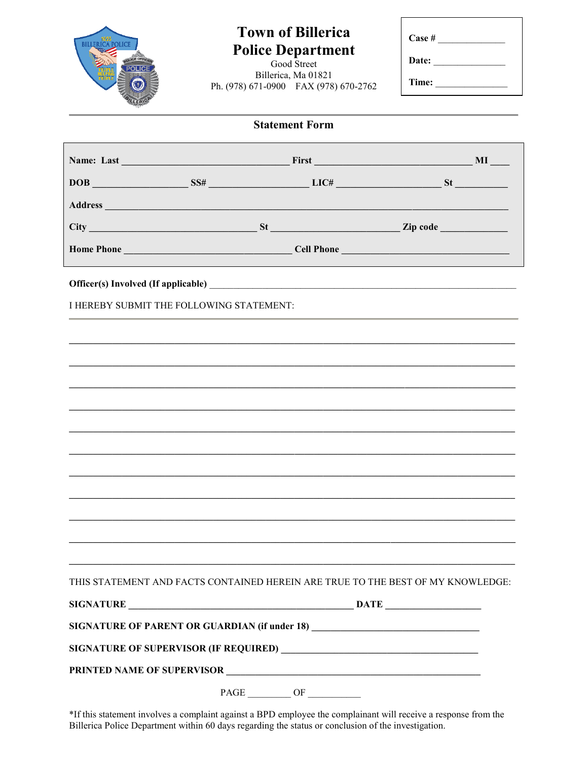

## **Town of Billerica Police Department**

Billerica, Ma 01821 Ph. (978) 671-0900 FAX (978) 670-2762

| Case # |
|--------|
|        |
| Date:  |
|        |
| Time:  |

|                                                                                 |      |    |                                 | <b>MI</b> |
|---------------------------------------------------------------------------------|------|----|---------------------------------|-----------|
| $DOB$ SS# LIC# LIC# SS                                                          |      |    |                                 |           |
|                                                                                 |      |    |                                 |           |
| <b>City</b>                                                                     |      |    | $St$ 2ip code 200 $St$ 2ip code |           |
|                                                                                 |      |    |                                 |           |
|                                                                                 |      |    |                                 |           |
| I HEREBY SUBMIT THE FOLLOWING STATEMENT:                                        |      |    |                                 |           |
|                                                                                 |      |    |                                 |           |
|                                                                                 |      |    |                                 |           |
|                                                                                 |      |    |                                 |           |
|                                                                                 |      |    |                                 |           |
|                                                                                 |      |    |                                 |           |
|                                                                                 |      |    |                                 |           |
|                                                                                 |      |    |                                 |           |
|                                                                                 |      |    |                                 |           |
|                                                                                 |      |    |                                 |           |
|                                                                                 |      |    |                                 |           |
|                                                                                 |      |    |                                 |           |
| THIS STATEMENT AND FACTS CONTAINED HEREIN ARE TRUE TO THE BEST OF MY KNOWLEDGE: |      |    |                                 |           |
|                                                                                 |      |    |                                 |           |
| SIGNATURE OF PARENT OR GUARDIAN (if under 18)                                   |      |    |                                 |           |
|                                                                                 |      |    |                                 |           |
|                                                                                 |      |    |                                 |           |
|                                                                                 | PAGE | OF |                                 |           |

\*If this statement involves a complaint against a BPD employee the complainant will receive a response from the Billerica Police Department within 60 days regarding the status or conclusion of the investigation.